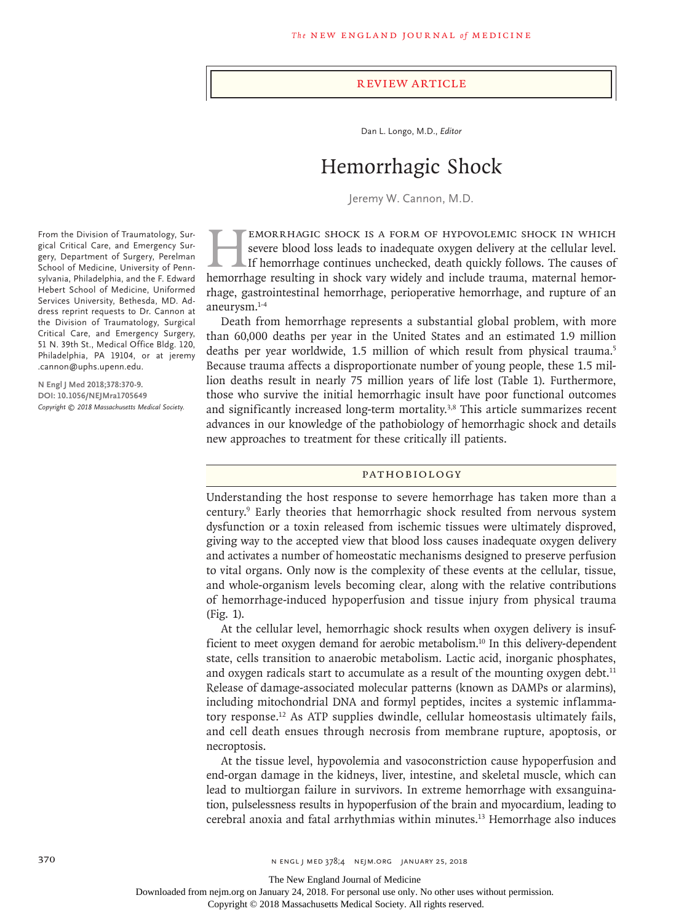#### Review Article

Dan L. Longo, M.D., *Editor*

# Hemorrhagic Shock

Jeremy W. Cannon, M.D.

EMORRHAGIC SHOCK IS A FORM OF HYPOVOLEMIC SHOCK IN WHICH severe blood loss leads to inadequate oxygen delivery at the cellular level.<br>If hemorrhage continues unchecked, death quickly follows. The causes of hemorrhage resul severe blood loss leads to inadequate oxygen delivery at the cellular level. If hemorrhage continues unchecked, death quickly follows. The causes of hemorrhage resulting in shock vary widely and include trauma, maternal hemorrhage, gastrointestinal hemorrhage, perioperative hemorrhage, and rupture of an aneurysm.1-4

Death from hemorrhage represents a substantial global problem, with more than 60,000 deaths per year in the United States and an estimated 1.9 million deaths per year worldwide, 1.5 million of which result from physical trauma.<sup>5</sup> Because trauma affects a disproportionate number of young people, these 1.5 million deaths result in nearly 75 million years of life lost (Table 1). Furthermore, those who survive the initial hemorrhagic insult have poor functional outcomes and significantly increased long-term mortality.<sup>3,8</sup> This article summarizes recent advances in our knowledge of the pathobiology of hemorrhagic shock and details new approaches to treatment for these critically ill patients.

### Pathobiology

Understanding the host response to severe hemorrhage has taken more than a century.9 Early theories that hemorrhagic shock resulted from nervous system dysfunction or a toxin released from ischemic tissues were ultimately disproved, giving way to the accepted view that blood loss causes inadequate oxygen delivery and activates a number of homeostatic mechanisms designed to preserve perfusion to vital organs. Only now is the complexity of these events at the cellular, tissue, and whole-organism levels becoming clear, along with the relative contributions of hemorrhage-induced hypoperfusion and tissue injury from physical trauma (Fig. 1).

At the cellular level, hemorrhagic shock results when oxygen delivery is insufficient to meet oxygen demand for aerobic metabolism.10 In this delivery-dependent state, cells transition to anaerobic metabolism. Lactic acid, inorganic phosphates, and oxygen radicals start to accumulate as a result of the mounting oxygen debt.<sup>11</sup> Release of damage-associated molecular patterns (known as DAMPs or alarmins), including mitochondrial DNA and formyl peptides, incites a systemic inflammatory response.12 As ATP supplies dwindle, cellular homeostasis ultimately fails, and cell death ensues through necrosis from membrane rupture, apoptosis, or necroptosis.

At the tissue level, hypovolemia and vasoconstriction cause hypoperfusion and end-organ damage in the kidneys, liver, intestine, and skeletal muscle, which can lead to multiorgan failure in survivors. In extreme hemorrhage with exsanguination, pulselessness results in hypoperfusion of the brain and myocardium, leading to cerebral anoxia and fatal arrhythmias within minutes.13 Hemorrhage also induces

From the Division of Traumatology, Surgical Critical Care, and Emergency Surgery, Department of Surgery, Perelman School of Medicine, University of Pennsylvania, Philadelphia, and the F. Edward Hebert School of Medicine, Uniformed Services University, Bethesda, MD. Address reprint requests to Dr. Cannon at the Division of Traumatology, Surgical Critical Care, and Emergency Surgery, 51 N. 39th St., Medical Office Bldg. 120, Philadelphia, PA 19104, or at jeremy .cannon@uphs.upenn.edu.

**N Engl J Med 2018;378:370-9. DOI: 10.1056/NEJMra1705649** *Copyright © 2018 Massachusetts Medical Society.*

The New England Journal of Medicine

Downloaded from nejm.org on January 24, 2018. For personal use only. No other uses without permission.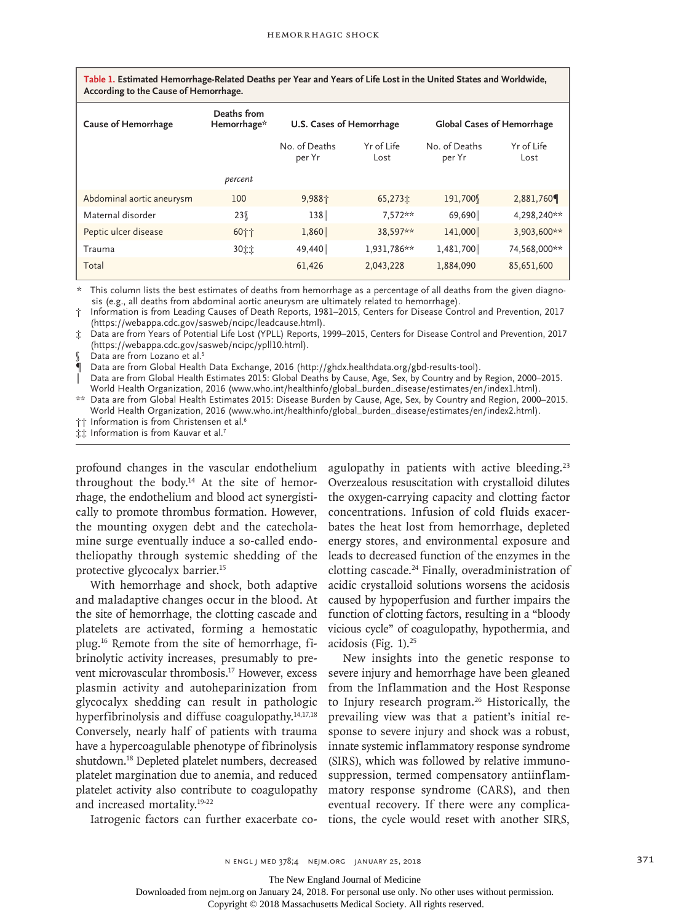| Table 1. Estimated Hemorrhage-Related Deaths per Year and Years of Life Lost in the United States and Worldwide, |  |  |
|------------------------------------------------------------------------------------------------------------------|--|--|
| According to the Cause of Hemorrhage.                                                                            |  |  |

| <b>Cause of Hemorrhage</b> | Deaths from<br>Hemorrhage* | U.S. Cases of Hemorrhage |                    | <b>Global Cases of Hemorrhage</b> |                    |
|----------------------------|----------------------------|--------------------------|--------------------|-----------------------------------|--------------------|
|                            |                            | No. of Deaths<br>per Yr  | Yr of Life<br>Lost | No. of Deaths<br>per Yr           | Yr of Life<br>Lost |
|                            | percent                    |                          |                    |                                   |                    |
| Abdominal aortic aneurysm  | 100                        | 9,988个                   | 65,273立            | 191,700                           | 2,881,760          |
| Maternal disorder          | 23%                        | 138                      | 7.572**            | 69,690                            | 4,298,240**        |
| Peptic ulcer disease       | 60个个                       | 1,860                    | 38.597**           | 141,000                           | 3,903,600**        |
| Trauma                     | 3011                       | 49,440                   | 1,931,786**        | 1,481,700                         | 74,568,000**       |
| Total                      |                            | 61,426                   | 2,043,228          | 1,884,090                         | 85,651,600         |

\* This column lists the best estimates of deaths from hemorrhage as a percentage of all deaths from the given diagnosis (e.g., all deaths from abdominal aortic aneurysm are ultimately related to hemorrhage).

† Information is from Leading Causes of Death Reports, 1981–2015, Centers for Disease Control and Prevention, 2017 (https://webappa.cdc.gov/sasweb/ncipc/leadcause.html).

‡ Data are from Years of Potential Life Lost (YPLL) Reports, 1999–2015, Centers for Disease Control and Prevention, 2017 (https://webappa.cdc.gov/sasweb/ncipc/ypll10.html).

Data are from Lozano et al.<sup>5</sup>

¶ Data are from Global Health Data Exchange, 2016 (http://ghdx.healthdata.org/gbd-results-tool).

Data are from Global Health Estimates 2015: Global Deaths by Cause, Age, Sex, by Country and by Region, 2000–2015. World Health Organization, 2016 (www.who.int/healthinfo/global\_burden\_disease/estimates/en/index1.html).

\*\* Data are from Global Health Estimates 2015: Disease Burden by Cause, Age, Sex, by Country and Region, 2000–2015. World Health Organization, 2016 (www.who.int/healthinfo/global\_burden\_disease/estimates/en/index2.html).

†† Information is from Christensen et al.<sup>6</sup>

**‡‡** Information is from Kauvar et al.<sup>7</sup>

profound changes in the vascular endothelium throughout the body.14 At the site of hemorrhage, the endothelium and blood act synergistically to promote thrombus formation. However, the mounting oxygen debt and the catecholamine surge eventually induce a so-called endotheliopathy through systemic shedding of the protective glycocalyx barrier.15

With hemorrhage and shock, both adaptive and maladaptive changes occur in the blood. At the site of hemorrhage, the clotting cascade and platelets are activated, forming a hemostatic plug.16 Remote from the site of hemorrhage, fibrinolytic activity increases, presumably to prevent microvascular thrombosis.<sup>17</sup> However, excess plasmin activity and autoheparinization from glycocalyx shedding can result in pathologic hyperfibrinolysis and diffuse coagulopathy.<sup>14,17,18</sup> Conversely, nearly half of patients with trauma have a hypercoagulable phenotype of fibrinolysis shutdown.18 Depleted platelet numbers, decreased platelet margination due to anemia, and reduced platelet activity also contribute to coagulopathy and increased mortality.19-22

agulopathy in patients with active bleeding.<sup>23</sup> Overzealous resuscitation with crystalloid dilutes the oxygen-carrying capacity and clotting factor concentrations. Infusion of cold fluids exacerbates the heat lost from hemorrhage, depleted energy stores, and environmental exposure and leads to decreased function of the enzymes in the clotting cascade.<sup>24</sup> Finally, overadministration of acidic crystalloid solutions worsens the acidosis caused by hypoperfusion and further impairs the function of clotting factors, resulting in a "bloody vicious cycle" of coagulopathy, hypothermia, and acidosis (Fig. 1).25

New insights into the genetic response to severe injury and hemorrhage have been gleaned from the Inflammation and the Host Response to Injury research program.<sup>26</sup> Historically, the prevailing view was that a patient's initial response to severe injury and shock was a robust, innate systemic inflammatory response syndrome (SIRS), which was followed by relative immunosuppression, termed compensatory antiinflammatory response syndrome (CARS), and then eventual recovery. If there were any complications, the cycle would reset with another SIRS,

Iatrogenic factors can further exacerbate co-

The New England Journal of Medicine

Downloaded from nejm.org on January 24, 2018. For personal use only. No other uses without permission.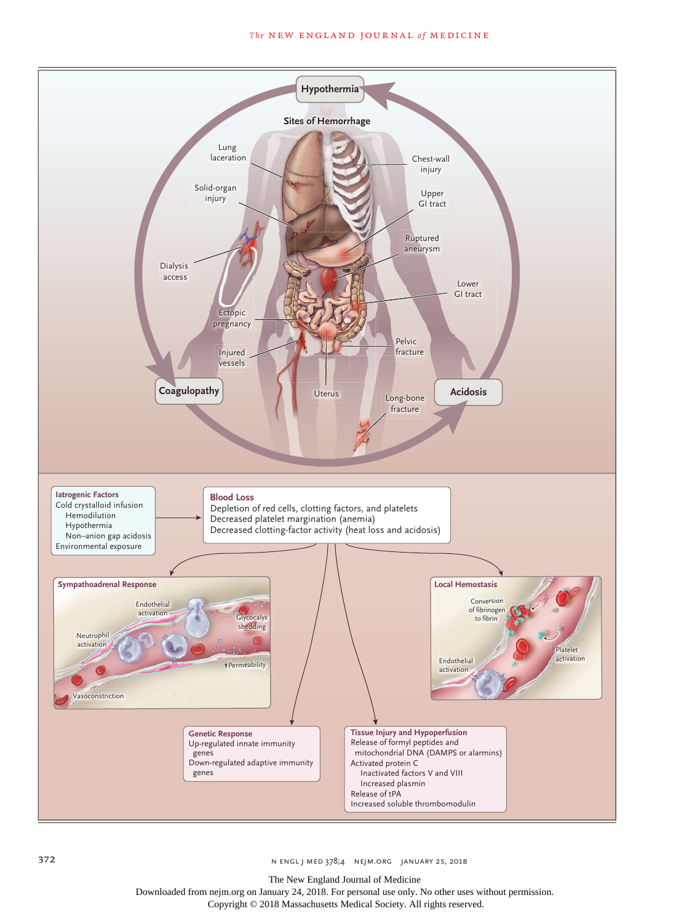# *The* NEW ENGLAND JOURNAL *of* MEDICINE



372 n engl j med 378;4 nejm.org January 25, 2018

The New England Journal of Medicine

Downloaded from nejm.org on January 24, 2018. For personal use only. No other uses without permission.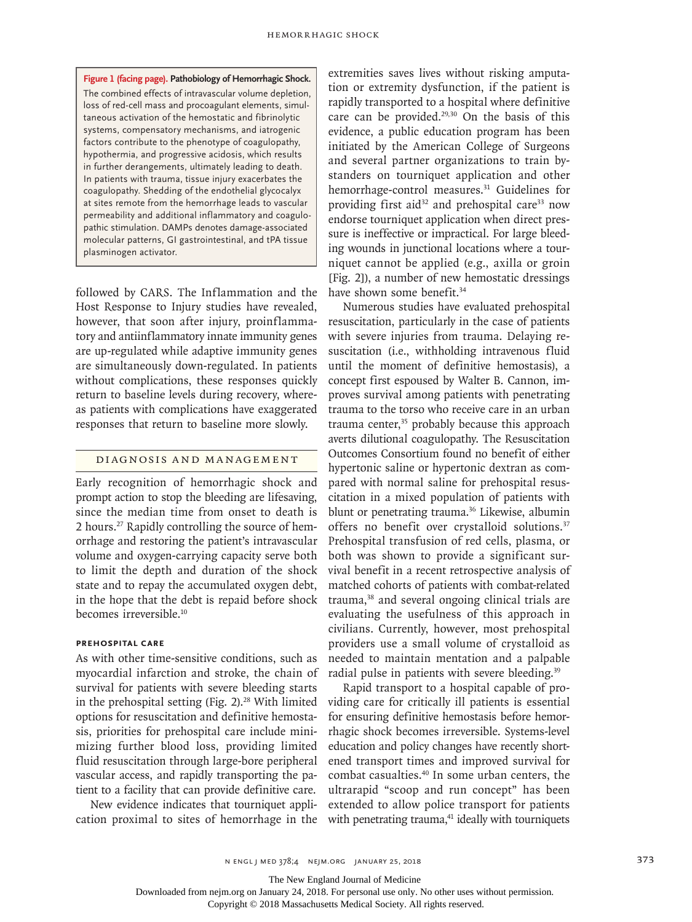**Figure 1 (facing page). Pathobiology of Hemorrhagic Shock.** The combined effects of intravascular volume depletion, loss of red-cell mass and procoagulant elements, simultaneous activation of the hemostatic and fibrinolytic systems, compensatory mechanisms, and iatrogenic factors contribute to the phenotype of coagulopathy, hypothermia, and progressive acidosis, which results in further derangements, ultimately leading to death. In patients with trauma, tissue injury exacerbates the coagulopathy. Shedding of the endothelial glycocalyx at sites remote from the hemorrhage leads to vascular permeability and additional inflammatory and coagulopathic stimulation. DAMPs denotes damage-associated molecular patterns, GI gastrointestinal, and tPA tissue plasminogen activator.

followed by CARS. The Inflammation and the Host Response to Injury studies have revealed, however, that soon after injury, proinflammatory and antiinflammatory innate immunity genes are up-regulated while adaptive immunity genes are simultaneously down-regulated. In patients without complications, these responses quickly return to baseline levels during recovery, whereas patients with complications have exaggerated responses that return to baseline more slowly.

# Diagnosis and Management

Early recognition of hemorrhagic shock and prompt action to stop the bleeding are lifesaving, since the median time from onset to death is 2 hours.27 Rapidly controlling the source of hemorrhage and restoring the patient's intravascular volume and oxygen-carrying capacity serve both to limit the depth and duration of the shock state and to repay the accumulated oxygen debt, in the hope that the debt is repaid before shock becomes irreversible.<sup>10</sup>

# **Prehospital Care**

As with other time-sensitive conditions, such as myocardial infarction and stroke, the chain of survival for patients with severe bleeding starts in the prehospital setting (Fig.  $2$ ).<sup>28</sup> With limited options for resuscitation and definitive hemostasis, priorities for prehospital care include minimizing further blood loss, providing limited fluid resuscitation through large-bore peripheral vascular access, and rapidly transporting the patient to a facility that can provide definitive care.

New evidence indicates that tourniquet application proximal to sites of hemorrhage in the

extremities saves lives without risking amputation or extremity dysfunction, if the patient is rapidly transported to a hospital where definitive care can be provided.<sup>29,30</sup> On the basis of this evidence, a public education program has been initiated by the American College of Surgeons and several partner organizations to train bystanders on tourniquet application and other hemorrhage-control measures.<sup>31</sup> Guidelines for providing first aid<sup>32</sup> and prehospital care<sup>33</sup> now endorse tourniquet application when direct pressure is ineffective or impractical. For large bleeding wounds in junctional locations where a tourniquet cannot be applied (e.g., axilla or groin [Fig. 2]), a number of new hemostatic dressings have shown some benefit.<sup>34</sup>

Numerous studies have evaluated prehospital resuscitation, particularly in the case of patients with severe injuries from trauma. Delaying resuscitation (i.e., withholding intravenous fluid until the moment of definitive hemostasis), a concept first espoused by Walter B. Cannon, improves survival among patients with penetrating trauma to the torso who receive care in an urban trauma center,<sup>35</sup> probably because this approach averts dilutional coagulopathy. The Resuscitation Outcomes Consortium found no benefit of either hypertonic saline or hypertonic dextran as compared with normal saline for prehospital resuscitation in a mixed population of patients with blunt or penetrating trauma.<sup>36</sup> Likewise, albumin offers no benefit over crystalloid solutions.<sup>37</sup> Prehospital transfusion of red cells, plasma, or both was shown to provide a significant survival benefit in a recent retrospective analysis of matched cohorts of patients with combat-related trauma,38 and several ongoing clinical trials are evaluating the usefulness of this approach in civilians. Currently, however, most prehospital providers use a small volume of crystalloid as needed to maintain mentation and a palpable radial pulse in patients with severe bleeding.<sup>39</sup>

Rapid transport to a hospital capable of providing care for critically ill patients is essential for ensuring definitive hemostasis before hemorrhagic shock becomes irreversible. Systems-level education and policy changes have recently shortened transport times and improved survival for combat casualties.40 In some urban centers, the ultrarapid "scoop and run concept" has been extended to allow police transport for patients with penetrating trauma, $41$  ideally with tourniquets

n engl j med 378;4 nejm.org January 25, 2018 373

The New England Journal of Medicine

Downloaded from nejm.org on January 24, 2018. For personal use only. No other uses without permission.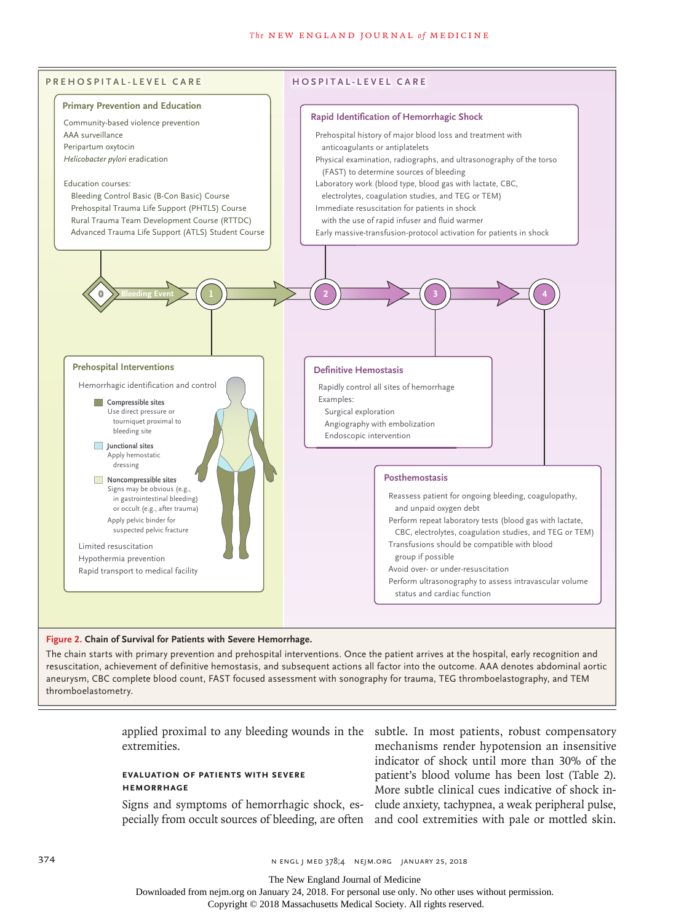#### **The NEW ENGLAND JOURNAL of MEDICINE**



## **Figure 2. Chain of Survival for Patients with Severe Hemorrhage.**

The chain starts with primary prevention and prehospital interventions. Once the patient arrives at the hospital, early recognition and resuscitation, achievement of definitive hemostasis, and subsequent actions all factor into the outcome. AAA denotes abdominal aortic aneurysm, CBC complete blood count, FAST focused assessment with sonography for trauma, TEG thromboelastography, and TEM thromboelastometry.

extremities.

# **Evaluation of Patients with Severe Hemorrhage**

applied proximal to any bleeding wounds in the subtle. In most patients, robust compensatory Signs and symptoms of hemorrhagic shock, es-clude anxiety, tachypnea, a weak peripheral pulse, pecially from occult sources of bleeding, are often and cool extremities with pale or mottled skin. mechanisms render hypotension an insensitive indicator of shock until more than 30% of the patient's blood volume has been lost (Table 2). More subtle clinical cues indicative of shock in-

374 **N ENGL J MED 378;4 NEIM.ORG JANUARY 25, 2018** 

The New England Journal of Medicine

Downloaded from nejm.org on January 24, 2018. For personal use only. No other uses without permission.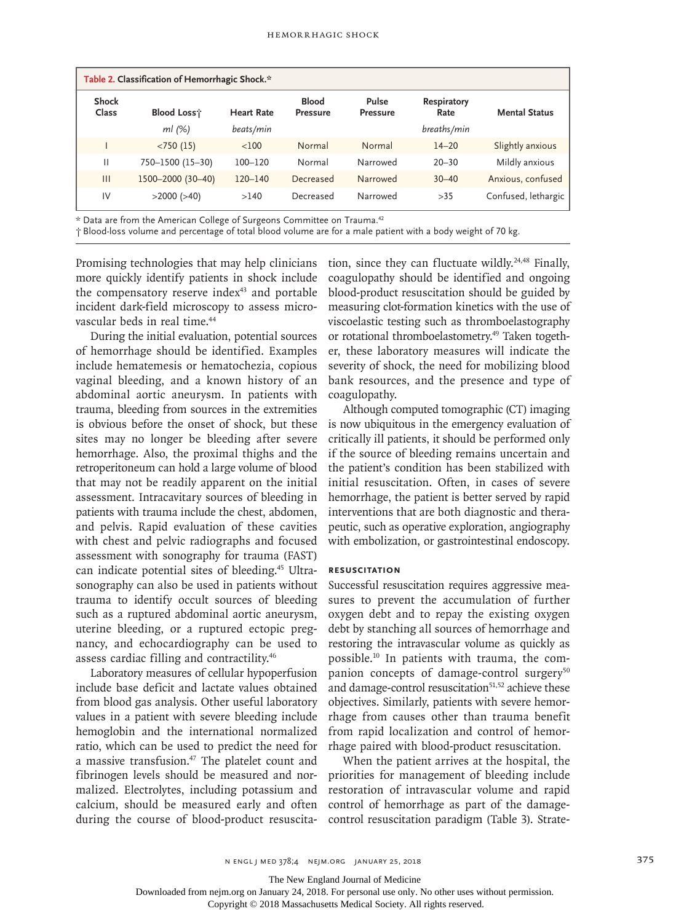| Table 2. Classification of Hemorrhagic Shock.* |                   |                   |                                 |                          |                     |                      |
|------------------------------------------------|-------------------|-------------------|---------------------------------|--------------------------|---------------------|----------------------|
| Shock<br>Class                                 | <b>Blood Loss</b> | <b>Heart Rate</b> | <b>Blood</b><br><b>Pressure</b> | Pulse<br><b>Pressure</b> | Respiratory<br>Rate | <b>Mental Status</b> |
|                                                | $ml$ (%)          | beats/min         |                                 |                          | breaths/min         |                      |
|                                                | < 750(15)         | $<$ 100           | Normal                          | Normal                   | $14 - 20$           | Slightly anxious     |
| Ш                                              | 750-1500 (15-30)  | $100 - 120$       | Normal                          | Narrowed                 | $20 - 30$           | Mildly anxious       |
| $\mathbf{III}$                                 | 1500-2000 (30-40) | $120 - 140$       | Decreased                       | Narrowed                 | $30 - 40$           | Anxious, confused    |
| IV                                             | $>2000$ ( $>40$ ) | >140              | Decreased                       | Narrowed                 | >35                 | Confused, lethargic  |

\* Data are from the American College of Surgeons Committee on Trauma.42

† Blood-loss volume and percentage of total blood volume are for a male patient with a body weight of 70 kg.

Promising technologies that may help clinicians more quickly identify patients in shock include the compensatory reserve index<sup>43</sup> and portable incident dark-field microscopy to assess microvascular beds in real time.<sup>44</sup>

During the initial evaluation, potential sources of hemorrhage should be identified. Examples include hematemesis or hematochezia, copious vaginal bleeding, and a known history of an abdominal aortic aneurysm. In patients with trauma, bleeding from sources in the extremities is obvious before the onset of shock, but these sites may no longer be bleeding after severe hemorrhage. Also, the proximal thighs and the retroperitoneum can hold a large volume of blood that may not be readily apparent on the initial assessment. Intracavitary sources of bleeding in patients with trauma include the chest, abdomen, and pelvis. Rapid evaluation of these cavities with chest and pelvic radiographs and focused assessment with sonography for trauma (FAST) can indicate potential sites of bleeding.45 Ultrasonography can also be used in patients without trauma to identify occult sources of bleeding such as a ruptured abdominal aortic aneurysm, uterine bleeding, or a ruptured ectopic pregnancy, and echocardiography can be used to assess cardiac filling and contractility.46

Laboratory measures of cellular hypoperfusion include base deficit and lactate values obtained from blood gas analysis. Other useful laboratory values in a patient with severe bleeding include hemoglobin and the international normalized ratio, which can be used to predict the need for a massive transfusion.<sup>47</sup> The platelet count and fibrinogen levels should be measured and normalized. Electrolytes, including potassium and calcium, should be measured early and often during the course of blood-product resuscitation, since they can fluctuate wildly.<sup>24,48</sup> Finally, coagulopathy should be identified and ongoing blood-product resuscitation should be guided by measuring clot-formation kinetics with the use of viscoelastic testing such as thromboelastography or rotational thromboelastometry.<sup>49</sup> Taken together, these laboratory measures will indicate the severity of shock, the need for mobilizing blood bank resources, and the presence and type of coagulopathy.

Although computed tomographic (CT) imaging is now ubiquitous in the emergency evaluation of critically ill patients, it should be performed only if the source of bleeding remains uncertain and the patient's condition has been stabilized with initial resuscitation. Often, in cases of severe hemorrhage, the patient is better served by rapid interventions that are both diagnostic and therapeutic, such as operative exploration, angiography with embolization, or gastrointestinal endoscopy.

## **Resuscitation**

Successful resuscitation requires aggressive measures to prevent the accumulation of further oxygen debt and to repay the existing oxygen debt by stanching all sources of hemorrhage and restoring the intravascular volume as quickly as possible.10 In patients with trauma, the companion concepts of damage-control surgery<sup>50</sup> and damage-control resuscitation<sup>51,52</sup> achieve these objectives. Similarly, patients with severe hemorrhage from causes other than trauma benefit from rapid localization and control of hemorrhage paired with blood-product resuscitation.

When the patient arrives at the hospital, the priorities for management of bleeding include restoration of intravascular volume and rapid control of hemorrhage as part of the damagecontrol resuscitation paradigm (Table 3). Strate-

The New England Journal of Medicine

Downloaded from nejm.org on January 24, 2018. For personal use only. No other uses without permission.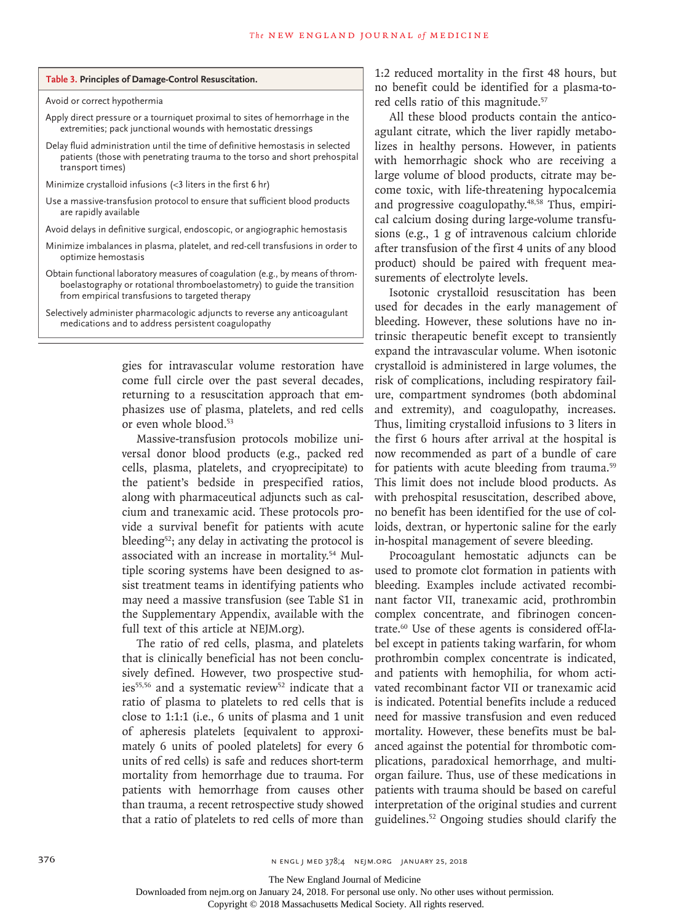|  | Table 3. Principles of Damage-Control Resuscitation. |  |
|--|------------------------------------------------------|--|
|--|------------------------------------------------------|--|

Avoid or correct hypothermia

- Apply direct pressure or a tourniquet proximal to sites of hemorrhage in the extremities; pack junctional wounds with hemostatic dressings
- Delay fluid administration until the time of definitive hemostasis in selected patients (those with penetrating trauma to the torso and short prehospital transport times)
- Minimize crystalloid infusions (<3 liters in the first 6 hr)
- Use a massive-transfusion protocol to ensure that sufficient blood products are rapidly available
- Avoid delays in definitive surgical, endoscopic, or angiographic hemostasis
- Minimize imbalances in plasma, platelet, and red-cell transfusions in order to optimize hemostasis
- Obtain functional laboratory measures of coagulation (e.g., by means of thromboelastography or rotational thromboelastometry) to guide the transition from empirical transfusions to targeted therapy

Selectively administer pharmacologic adjuncts to reverse any anticoagulant medications and to address persistent coagulopathy

> gies for intravascular volume restoration have come full circle over the past several decades, returning to a resuscitation approach that emphasizes use of plasma, platelets, and red cells or even whole blood.53

> Massive-transfusion protocols mobilize universal donor blood products (e.g., packed red cells, plasma, platelets, and cryoprecipitate) to the patient's bedside in prespecified ratios, along with pharmaceutical adjuncts such as calcium and tranexamic acid. These protocols provide a survival benefit for patients with acute bleeding<sup>52</sup>; any delay in activating the protocol is associated with an increase in mortality.54 Multiple scoring systems have been designed to assist treatment teams in identifying patients who may need a massive transfusion (see Table S1 in the Supplementary Appendix, available with the full text of this article at NEJM.org).

> The ratio of red cells, plasma, and platelets that is clinically beneficial has not been conclusively defined. However, two prospective studies<sup>55,56</sup> and a systematic review<sup>52</sup> indicate that a ratio of plasma to platelets to red cells that is close to 1:1:1 (i.e., 6 units of plasma and 1 unit of apheresis platelets [equivalent to approximately 6 units of pooled platelets] for every 6 units of red cells) is safe and reduces short-term mortality from hemorrhage due to trauma. For patients with hemorrhage from causes other than trauma, a recent retrospective study showed that a ratio of platelets to red cells of more than

1:2 reduced mortality in the first 48 hours, but no benefit could be identified for a plasma-tored cells ratio of this magnitude.<sup>57</sup>

All these blood products contain the anticoagulant citrate, which the liver rapidly metabolizes in healthy persons. However, in patients with hemorrhagic shock who are receiving a large volume of blood products, citrate may become toxic, with life-threatening hypocalcemia and progressive coagulopathy.<sup>48,58</sup> Thus, empirical calcium dosing during large-volume transfusions (e.g., 1 g of intravenous calcium chloride after transfusion of the first 4 units of any blood product) should be paired with frequent measurements of electrolyte levels.

Isotonic crystalloid resuscitation has been used for decades in the early management of bleeding. However, these solutions have no intrinsic therapeutic benefit except to transiently expand the intravascular volume. When isotonic crystalloid is administered in large volumes, the risk of complications, including respiratory failure, compartment syndromes (both abdominal and extremity), and coagulopathy, increases. Thus, limiting crystalloid infusions to 3 liters in the first 6 hours after arrival at the hospital is now recommended as part of a bundle of care for patients with acute bleeding from trauma.<sup>59</sup> This limit does not include blood products. As with prehospital resuscitation, described above, no benefit has been identified for the use of colloids, dextran, or hypertonic saline for the early in-hospital management of severe bleeding.

Procoagulant hemostatic adjuncts can be used to promote clot formation in patients with bleeding. Examples include activated recombinant factor VII, tranexamic acid, prothrombin complex concentrate, and fibrinogen concentrate.60 Use of these agents is considered off-label except in patients taking warfarin, for whom prothrombin complex concentrate is indicated, and patients with hemophilia, for whom activated recombinant factor VII or tranexamic acid is indicated. Potential benefits include a reduced need for massive transfusion and even reduced mortality. However, these benefits must be balanced against the potential for thrombotic complications, paradoxical hemorrhage, and multiorgan failure. Thus, use of these medications in patients with trauma should be based on careful interpretation of the original studies and current guidelines.52 Ongoing studies should clarify the

The New England Journal of Medicine

Downloaded from nejm.org on January 24, 2018. For personal use only. No other uses without permission.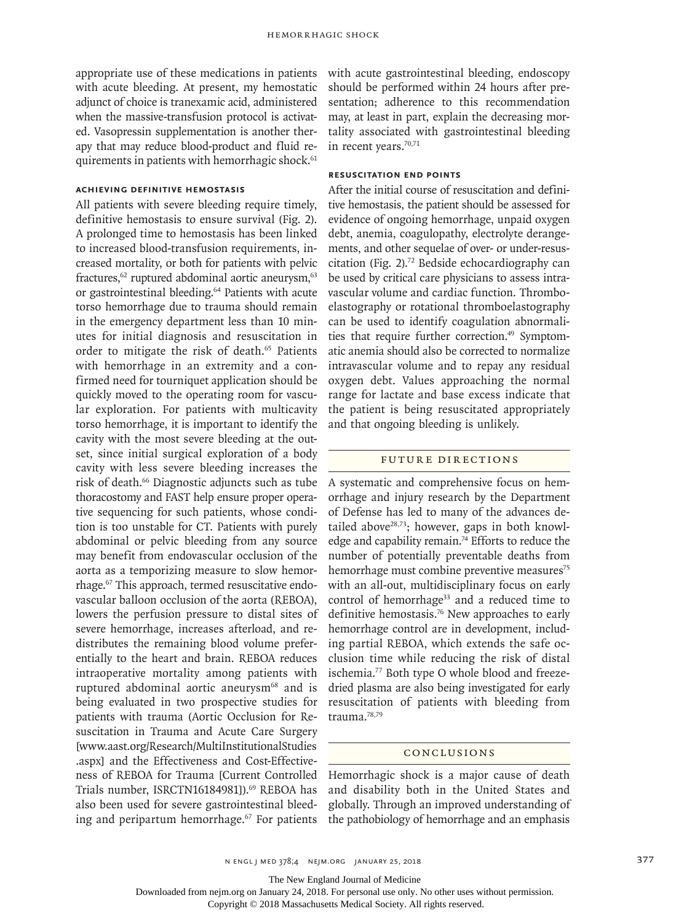appropriate use of these medications in patients with acute bleeding. At present, my hemostatic adjunct of choice is tranexamic acid, administered when the massive-transfusion protocol is activated. Vasopressin supplementation is another therapy that may reduce blood-product and fluid requirements in patients with hemorrhagic shock.<sup>61</sup>

# **Achieving Definitive Hemostasis**

All patients with severe bleeding require timely, definitive hemostasis to ensure survival (Fig. 2). A prolonged time to hemostasis has been linked to increased blood-transfusion requirements, increased mortality, or both for patients with pelvic fractures,<sup>62</sup> ruptured abdominal aortic aneurysm,<sup>63</sup> or gastrointestinal bleeding.<sup>64</sup> Patients with acute torso hemorrhage due to trauma should remain in the emergency department less than 10 minutes for initial diagnosis and resuscitation in order to mitigate the risk of death.<sup>65</sup> Patients with hemorrhage in an extremity and a confirmed need for tourniquet application should be quickly moved to the operating room for vascular exploration. For patients with multicavity torso hemorrhage, it is important to identify the cavity with the most severe bleeding at the outset, since initial surgical exploration of a body cavity with less severe bleeding increases the risk of death.66 Diagnostic adjuncts such as tube thoracostomy and FAST help ensure proper operative sequencing for such patients, whose condition is too unstable for CT. Patients with purely abdominal or pelvic bleeding from any source may benefit from endovascular occlusion of the aorta as a temporizing measure to slow hemorrhage.67 This approach, termed resuscitative endovascular balloon occlusion of the aorta (REBOA), lowers the perfusion pressure to distal sites of severe hemorrhage, increases afterload, and redistributes the remaining blood volume preferentially to the heart and brain. REBOA reduces intraoperative mortality among patients with ruptured abdominal aortic aneurysm<sup>68</sup> and is being evaluated in two prospective studies for patients with trauma (Aortic Occlusion for Resuscitation in Trauma and Acute Care Surgery [www.aast.org/Research/MultiInstitutionalStudies .aspx] and the Effectiveness and Cost-Effectiveness of REBOA for Trauma [Current Controlled Trials number, ISRCTN16184981]).<sup>69</sup> REBOA has also been used for severe gastrointestinal bleeding and peripartum hemorrhage.<sup>67</sup> For patients with acute gastrointestinal bleeding, endoscopy should be performed within 24 hours after presentation; adherence to this recommendation may, at least in part, explain the decreasing mortality associated with gastrointestinal bleeding in recent years.<sup>70,71</sup>

## **Resuscitation End Points**

After the initial course of resuscitation and definitive hemostasis, the patient should be assessed for evidence of ongoing hemorrhage, unpaid oxygen debt, anemia, coagulopathy, electrolyte derangements, and other sequelae of over- or under-resuscitation (Fig. 2).72 Bedside echocardiography can be used by critical care physicians to assess intravascular volume and cardiac function. Thromboelastography or rotational thromboelastography can be used to identify coagulation abnormalities that require further correction.<sup>49</sup> Symptomatic anemia should also be corrected to normalize intravascular volume and to repay any residual oxygen debt. Values approaching the normal range for lactate and base excess indicate that the patient is being resuscitated appropriately and that ongoing bleeding is unlikely.

#### Future Directions

A systematic and comprehensive focus on hemorrhage and injury research by the Department of Defense has led to many of the advances detailed above $28,73$ ; however, gaps in both knowledge and capability remain.<sup>74</sup> Efforts to reduce the number of potentially preventable deaths from hemorrhage must combine preventive measures<sup>75</sup> with an all-out, multidisciplinary focus on early control of hemorrhage<sup>33</sup> and a reduced time to definitive hemostasis.<sup>76</sup> New approaches to early hemorrhage control are in development, including partial REBOA, which extends the safe occlusion time while reducing the risk of distal ischemia.77 Both type O whole blood and freezedried plasma are also being investigated for early resuscitation of patients with bleeding from trauma.78,79

## Conclusions

Hemorrhagic shock is a major cause of death and disability both in the United States and globally. Through an improved understanding of the pathobiology of hemorrhage and an emphasis

The New England Journal of Medicine

Downloaded from nejm.org on January 24, 2018. For personal use only. No other uses without permission.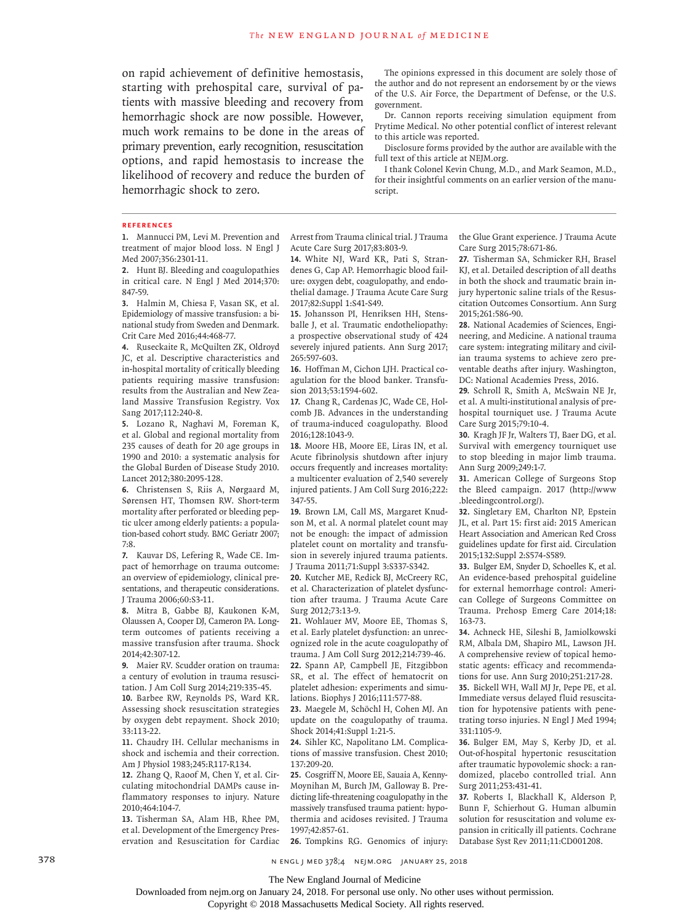on rapid achievement of definitive hemostasis, starting with prehospital care, survival of patients with massive bleeding and recovery from hemorrhagic shock are now possible. However, much work remains to be done in the areas of primary prevention, early recognition, resuscitation options, and rapid hemostasis to increase the likelihood of recovery and reduce the burden of hemorrhagic shock to zero.

The opinions expressed in this document are solely those of the author and do not represent an endorsement by or the views of the U.S. Air Force, the Department of Defense, or the U.S. government.

Dr. Cannon reports receiving simulation equipment from Prytime Medical. No other potential conflict of interest relevant to this article was reported.

Disclosure forms provided by the author are available with the full text of this article at NEJM.org.

I thank Colonel Kevin Chung, M.D., and Mark Seamon, M.D., for their insightful comments on an earlier version of the manuscript.

#### **References**

**1.** Mannucci PM, Levi M. Prevention and treatment of major blood loss. N Engl J Med 2007;356:2301-11.

**2.** Hunt BJ. Bleeding and coagulopathies in critical care. N Engl J Med 2014;370: 847-59.

**3.** Halmin M, Chiesa F, Vasan SK, et al. Epidemiology of massive transfusion: a binational study from Sweden and Denmark. Crit Care Med 2016;44:468-77.

**4.** Ruseckaite R, McQuilten ZK, Oldroyd JC, et al. Descriptive characteristics and in-hospital mortality of critically bleeding patients requiring massive transfusion: results from the Australian and New Zealand Massive Transfusion Registry. Vox Sang 2017;112:240-8.

**5.** Lozano R, Naghavi M, Foreman K, et al. Global and regional mortality from 235 causes of death for 20 age groups in 1990 and 2010: a systematic analysis for the Global Burden of Disease Study 2010. Lancet 2012;380:2095-128.

**6.** Christensen S, Riis A, Nørgaard M, Sørensen HT, Thomsen RW. Short-term mortality after perforated or bleeding peptic ulcer among elderly patients: a population-based cohort study. BMC Geriatr 2007; 7:8.

**7.** Kauvar DS, Lefering R, Wade CE. Impact of hemorrhage on trauma outcome: an overview of epidemiology, clinical presentations, and therapeutic considerations. J Trauma 2006;60:S3-11.

**8.** Mitra B, Gabbe BJ, Kaukonen K-M, Olaussen A, Cooper DJ, Cameron PA. Longterm outcomes of patients receiving a massive transfusion after trauma. Shock 2014;42:307-12.

**9.** Maier RV. Scudder oration on trauma: a century of evolution in trauma resuscitation. J Am Coll Surg 2014;219:335-45.

**10.** Barbee RW, Reynolds PS, Ward KR. Assessing shock resuscitation strategies by oxygen debt repayment. Shock 2010; 33:113-22.

**11.** Chaudry IH. Cellular mechanisms in shock and ischemia and their correction. Am J Physiol 1983;245:R117-R134.

**12.** Zhang Q, Raoof M, Chen Y, et al. Circulating mitochondrial DAMPs cause inflammatory responses to injury. Nature 2010;464:104-7.

**13.** Tisherman SA, Alam HB, Rhee PM, et al. Development of the Emergency Preservation and Resuscitation for Cardiac Arrest from Trauma clinical trial. J Trauma Acute Care Surg 2017;83:803-9.

**14.** White NJ, Ward KR, Pati S, Strandenes G, Cap AP. Hemorrhagic blood failure: oxygen debt, coagulopathy, and endothelial damage. J Trauma Acute Care Surg 2017;82:Suppl 1:S41-S49.

**15.** Johansson PI, Henriksen HH, Stensballe J, et al. Traumatic endotheliopathy: a prospective observational study of 424 severely injured patients. Ann Surg 2017; 265:597-603.

**16.** Hoffman M, Cichon LJH. Practical coagulation for the blood banker. Transfusion 2013;53:1594-602.

**17.** Chang R, Cardenas JC, Wade CE, Holcomb JB. Advances in the understanding of trauma-induced coagulopathy. Blood 2016;128:1043-9.

**18.** Moore HB, Moore EE, Liras IN, et al. Acute fibrinolysis shutdown after injury occurs frequently and increases mortality: a multicenter evaluation of 2,540 severely injured patients. J Am Coll Surg 2016;222: 347-55.

**19.** Brown LM, Call MS, Margaret Knudson M, et al. A normal platelet count may not be enough: the impact of admission platelet count on mortality and transfusion in severely injured trauma patients. J Trauma 2011;71:Suppl 3:S337-S342.

**20.** Kutcher ME, Redick BJ, McCreery RC, et al. Characterization of platelet dysfunction after trauma. J Trauma Acute Care Surg 2012;73:13-9.

**21.** Wohlauer MV, Moore EE, Thomas S, et al. Early platelet dysfunction: an unrecognized role in the acute coagulopathy of trauma. J Am Coll Surg 2012;214:739-46. **22.** Spann AP, Campbell JE, Fitzgibbon SR, et al. The effect of hematocrit on platelet adhesion: experiments and simulations. Biophys J 2016;111:577-88.

**23.** Maegele M, Schöchl H, Cohen MJ. An update on the coagulopathy of trauma. Shock 2014;41:Suppl 1:21-5.

**24.** Sihler KC, Napolitano LM. Complications of massive transfusion. Chest 2010; 137:209-20.

**25.** Cosgriff N, Moore EE, Sauaia A, Kenny-Moynihan M, Burch JM, Galloway B. Predicting life-threatening coagulopathy in the massively transfused trauma patient: hypothermia and acidoses revisited. J Trauma 1997;42:857-61.

**26.** Tompkins RG. Genomics of injury:

the Glue Grant experience. J Trauma Acute Care Surg 2015;78:671-86.

**27.** Tisherman SA, Schmicker RH, Brasel KJ, et al. Detailed description of all deaths in both the shock and traumatic brain injury hypertonic saline trials of the Resuscitation Outcomes Consortium. Ann Surg 2015;261:586-90.

**28.** National Academies of Sciences, Engineering, and Medicine. A national trauma care system: integrating military and civilian trauma systems to achieve zero preventable deaths after injury. Washington, DC: National Academies Press, 2016.

**29.** Schroll R, Smith A, McSwain NE Jr, et al. A multi-institutional analysis of prehospital tourniquet use. J Trauma Acute Care Surg 2015;79:10-4.

**30.** Kragh JF Jr, Walters TJ, Baer DG, et al. Survival with emergency tourniquet use to stop bleeding in major limb trauma. Ann Surg 2009;249:1-7.

**31.** American College of Surgeons Stop the Bleed campaign. 2017 (http://www .bleedingcontrol.org/).

**32.** Singletary EM, Charlton NP, Epstein JL, et al. Part 15: first aid: 2015 American Heart Association and American Red Cross guidelines update for first aid. Circulation 2015;132:Suppl 2:S574-S589.

**33.** Bulger EM, Snyder D, Schoelles K, et al. An evidence-based prehospital guideline for external hemorrhage control: American College of Surgeons Committee on Trauma. Prehosp Emerg Care 2014;18: 163-73.

**34.** Achneck HE, Sileshi B, Jamiolkowski RM, Albala DM, Shapiro ML, Lawson JH. A comprehensive review of topical hemostatic agents: efficacy and recommendations for use. Ann Surg 2010;251:217-28.

**35.** Bickell WH, Wall MJ Jr, Pepe PE, et al. Immediate versus delayed fluid resuscitation for hypotensive patients with penetrating torso injuries. N Engl J Med 1994; 331:1105-9.

**36.** Bulger EM, May S, Kerby JD, et al. Out-of-hospital hypertonic resuscitation after traumatic hypovolemic shock: a randomized, placebo controlled trial. Ann Surg 2011;253:431-41.

**37.** Roberts I, Blackhall K, Alderson P, Bunn F, Schierhout G. Human albumin solution for resuscitation and volume expansion in critically ill patients. Cochrane Database Syst Rev 2011;11:CD001208.

378 **378** n engl j med 378;4 nejm.org January 25, 2018

The New England Journal of Medicine